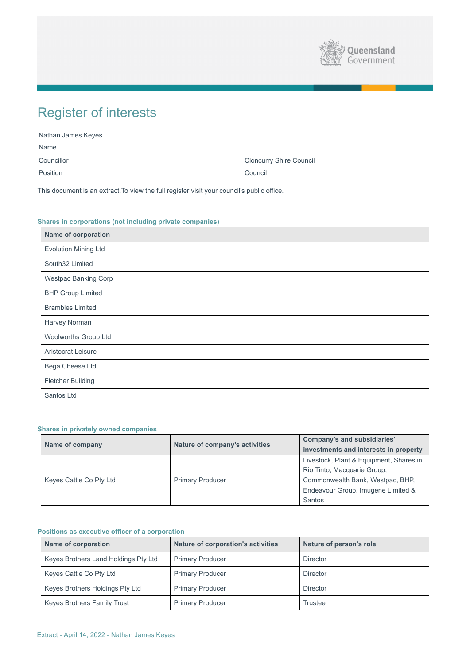

# Register of interests

| Nathan James Keyes |                                |
|--------------------|--------------------------------|
| Name               |                                |
| Councillor         | <b>Cloncurry Shire Council</b> |
| Position           | Council                        |

This document is an extract.To view the full register visit your council's public office.

# **Shares in corporations (not including private companies)**

| <b>Name of corporation</b>  |
|-----------------------------|
| <b>Evolution Mining Ltd</b> |
| South32 Limited             |
| <b>Westpac Banking Corp</b> |
| <b>BHP Group Limited</b>    |
| <b>Brambles Limited</b>     |
| <b>Harvey Norman</b>        |
| <b>Woolworths Group Ltd</b> |
| <b>Aristocrat Leisure</b>   |
| <b>Bega Cheese Ltd</b>      |
| <b>Fletcher Building</b>    |
| Santos Ltd                  |

# **Shares in privately owned companies**

|                         |                         | <b>Company's and subsidiaries'</b>    |                                         |
|-------------------------|-------------------------|---------------------------------------|-----------------------------------------|
|                         | Name of company         | <b>Nature of company's activities</b> | investments and interests in property   |
|                         |                         |                                       | Livestock, Plant & Equipment, Shares in |
|                         |                         |                                       | Rio Tinto, Macquarie Group,             |
| Keyes Cattle Co Pty Ltd | <b>Primary Producer</b> | Commonwealth Bank, Westpac, BHP,      |                                         |
|                         |                         |                                       | Endeavour Group, Imugene Limited &      |
|                         |                         |                                       | <b>Santos</b>                           |

|  | 171111 |
|--|--------|
|  |        |

# **Positions as executive officer of a corporation**

| <b>Name of corporation</b>             | <b>Nature of corporation's activities</b> | Nature of person's role |
|----------------------------------------|-------------------------------------------|-------------------------|
| Keyes Brothers Land Holdings Pty Ltd   | <b>Primary Producer</b>                   | <b>Director</b>         |
| Keyes Cattle Co Pty Ltd                | <b>Primary Producer</b>                   | <b>Director</b>         |
| <b>Keyes Brothers Holdings Pty Ltd</b> | <b>Primary Producer</b>                   | <b>Director</b>         |
| <b>Keyes Brothers Family Trust</b>     | <b>Primary Producer</b>                   | <b>Trustee</b>          |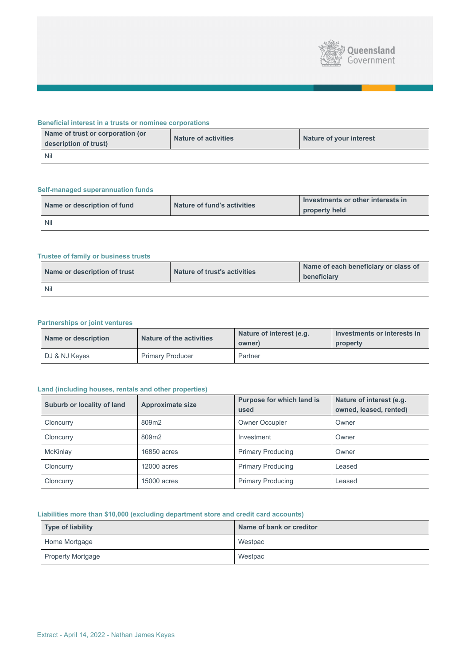

## **Beneficial interest in a trusts or nominee corporations**

| Name of trust or corporation (or<br>description of trust) | <b>Nature of activities</b> | Nature of your interest |
|-----------------------------------------------------------|-----------------------------|-------------------------|
| <b>Nil</b>                                                |                             |                         |

# **Self-managed superannuation funds**

| Name or description of fund | <b>Nature of fund's activities</b> | Investments or other interests in<br>property held |
|-----------------------------|------------------------------------|----------------------------------------------------|
| <b>Nil</b>                  |                                    |                                                    |

# **Trustee of family or business trusts**

| Name or description of trust | <b>Nature of trust's activities</b> | Name of each beneficiary or class of<br>beneficiary |
|------------------------------|-------------------------------------|-----------------------------------------------------|
| <b>Nil</b>                   |                                     |                                                     |

# **Partnerships or joint ventures**

| <b>Name or description</b> | <b>Nature of the activities</b> | Nature of interest (e.g.<br>owner) | Investments or interests in<br>property |
|----------------------------|---------------------------------|------------------------------------|-----------------------------------------|
| DJ & NJ Keyes              | <b>Primary Producer</b>         | Partner                            |                                         |

# **Land (including houses, rentals and other properties)**

| <b>Suburb or locality of land</b> | <b>Approximate size</b> | <b>Purpose for which land is</b><br>used | Nature of interest (e.g.<br>owned, leased, rented) |
|-----------------------------------|-------------------------|------------------------------------------|----------------------------------------------------|
| Cloncurry                         | 809m2                   | <b>Owner Occupier</b>                    | Owner                                              |
| Cloncurry                         | 809m2                   | Investment                               | Owner                                              |
| <b>McKinlay</b>                   | 16850 acres             | <b>Primary Producing</b>                 | Owner                                              |
| Cloncurry                         | <b>12000 acres</b>      | <b>Primary Producing</b>                 | Leased                                             |
| Cloncurry                         | <b>15000 acres</b>      | <b>Primary Producing</b>                 | Leased                                             |

# **Liabilities more than \$10,000 (excluding department store and credit card accounts)**

| Type of liability        | Name of bank or creditor |
|--------------------------|--------------------------|
| Home Mortgage            | Westpac                  |
| <b>Property Mortgage</b> | Westpac                  |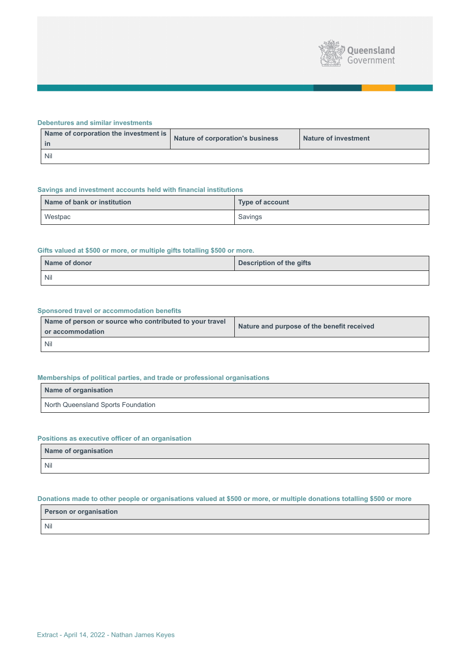

#### **Debentures and similar investments**

| Name of corporation the investment is<br>- in | Nature of corporation's business | <b>Nature of investment</b> |
|-----------------------------------------------|----------------------------------|-----------------------------|
| <b>Nil</b>                                    |                                  |                             |

## **Savings and investment accounts held with financial institutions**

| Name of bank or institution | Type of account |
|-----------------------------|-----------------|
| Westpac                     | Savings         |

## **Gifts valued at \$500 or more, or multiple gifts totalling \$500 or more.**

| Name of donor | <b>Description of the gifts</b> |
|---------------|---------------------------------|
| <b>Nil</b>    |                                 |

## **Sponsored travel or accommodation benefits**

| Name of person or source who contributed to your travel<br>or accommodation | Nature and purpose of the benefit received |
|-----------------------------------------------------------------------------|--------------------------------------------|
| <b>Nil</b>                                                                  |                                            |

## **Memberships of political parties, and trade or professional organisations**

| Name of organisation               |
|------------------------------------|
| North Queensland Sports Foundation |

# **Positions as executive officer of an organisation**

| Name of organisation |  |
|----------------------|--|
| Nil                  |  |

# **Donations made to other people or organisations valued at \$500 or more, or multiple donations totalling \$500 or more**

**Person or organisation** Nil